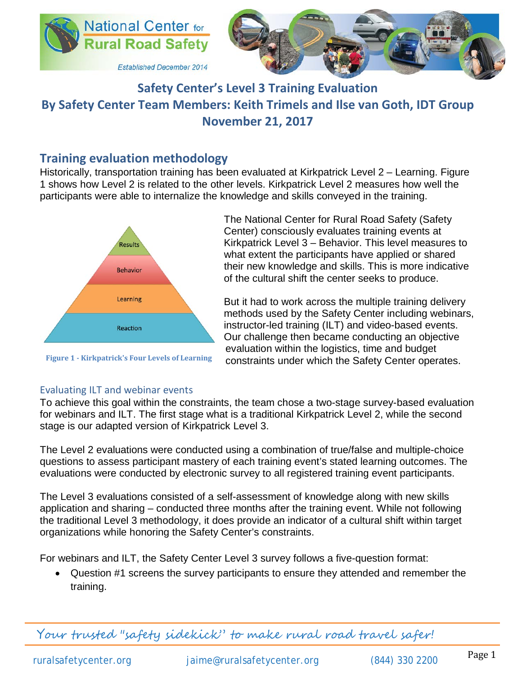



# **Safety Center's Level 3 Training Evaluation By Safety Center Team Members: Keith Trimels and Ilse van Goth, IDT Group November 21, 2017**

## **Training evaluation methodology**

Historically, transportation training has been evaluated at Kirkpatrick Level 2 – Learning. Figure 1 shows how Level 2 is related to the other levels. Kirkpatrick Level 2 measures how well the participants were able to internalize the knowledge and skills conveyed in the training.



**Figure 1 - Kirkpatrick's Four Levels of Learning**

The National Center for Rural Road Safety (Safety Center) consciously evaluates training events at Kirkpatrick Level 3 – Behavior. This level measures to what extent the participants have applied or shared their new knowledge and skills. This is more indicative of the cultural shift the center seeks to produce.

But it had to work across the multiple training delivery methods used by the Safety Center including webinars, instructor-led training (ILT) and video-based events. Our challenge then became conducting an objective evaluation within the logistics, time and budget constraints under which the Safety Center operates.

#### Evaluating ILT and webinar events

To achieve this goal within the constraints, the team chose a two-stage survey-based evaluation for webinars and ILT. The first stage what is a traditional Kirkpatrick Level 2, while the second stage is our adapted version of Kirkpatrick Level 3.

The Level 2 evaluations were conducted using a combination of true/false and multiple-choice questions to assess participant mastery of each training event's stated learning outcomes. The evaluations were conducted by electronic survey to all registered training event participants.

The Level 3 evaluations consisted of a self-assessment of knowledge along with new skills application and sharing – conducted three months after the training event. While not following the traditional Level 3 methodology, it does provide an indicator of a cultural shift within target organizations while honoring the Safety Center's constraints.

For webinars and ILT, the Safety Center Level 3 survey follows a five-question format:

• Question #1 screens the survey participants to ensure they attended and remember the training.

Your trusted "safety sidekick" to make rural road travel safer!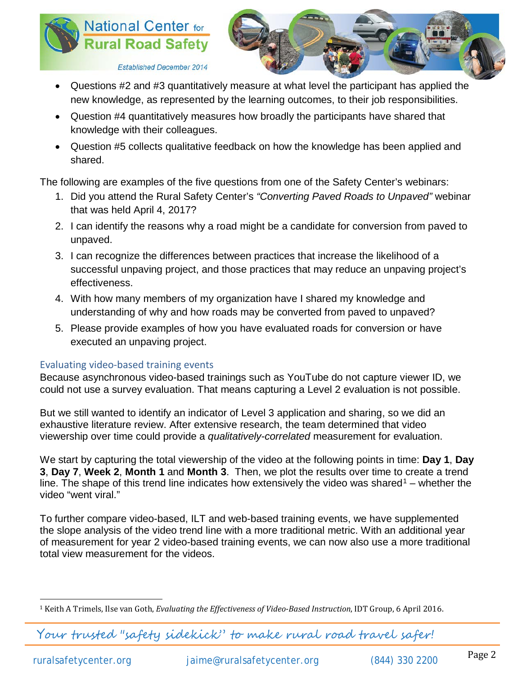



**Established December 2014** 

- Questions #2 and #3 quantitatively measure at what level the participant has applied the new knowledge, as represented by the learning outcomes, to their job responsibilities.
- Question #4 quantitatively measures how broadly the participants have shared that knowledge with their colleagues.
- Question #5 collects qualitative feedback on how the knowledge has been applied and shared.

The following are examples of the five questions from one of the Safety Center's webinars:

- 1. Did you attend the Rural Safety Center's *"Converting Paved Roads to Unpaved"* webinar that was held April 4, 2017?
- 2. I can identify the reasons why a road might be a candidate for conversion from paved to unpaved.
- 3. I can recognize the differences between practices that increase the likelihood of a successful unpaving project, and those practices that may reduce an unpaving project's effectiveness.
- 4. With how many members of my organization have I shared my knowledge and understanding of why and how roads may be converted from paved to unpaved?
- 5. Please provide examples of how you have evaluated roads for conversion or have executed an unpaving project.

### Evaluating video-based training events

Because asynchronous video-based trainings such as YouTube do not capture viewer ID, we could not use a survey evaluation. That means capturing a Level 2 evaluation is not possible.

But we still wanted to identify an indicator of Level 3 application and sharing, so we did an exhaustive literature review. After extensive research, the team determined that video viewership over time could provide a *qualitatively-correlated* measurement for evaluation.

We start by capturing the total viewership of the video at the following points in time: **Day 1**, **Day 3**, **Day 7**, **Week 2**, **Month 1** and **Month 3**. Then, we plot the results over time to create a trend line. The shape of this trend line indicates how extensively the video was shared<sup>[1](#page-1-0)</sup> – whether the video "went viral."

To further compare video-based, ILT and web-based training events, we have supplemented the slope analysis of the video trend line with a more traditional metric. With an additional year of measurement for year 2 video-based training events, we can now also use a more traditional total view measurement for the videos.

Your trusted "safety sidekick" to make rural road travel safer!

<span id="page-1-0"></span> <sup>1</sup> Keith A Trimels, Ilse van Goth, *Evaluating the Effectiveness of Video-Based Instruction*, IDT Group, 6 April 2016.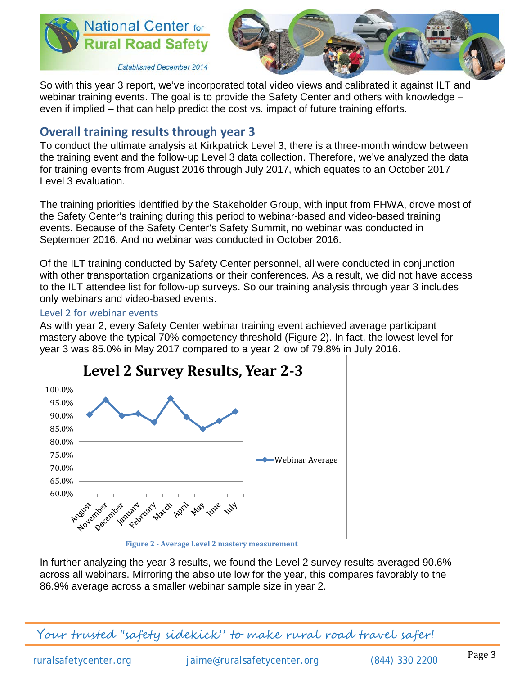



**Established December 2014** 

So with this year 3 report, we've incorporated total video views and calibrated it against ILT and webinar training events. The goal is to provide the Safety Center and others with knowledge – even if implied – that can help predict the cost vs. impact of future training efforts.

# **Overall training results through year 3**

To conduct the ultimate analysis at Kirkpatrick Level 3, there is a three-month window between the training event and the follow-up Level 3 data collection. Therefore, we've analyzed the data for training events from August 2016 through July 2017, which equates to an October 2017 Level 3 evaluation.

The training priorities identified by the Stakeholder Group, with input from FHWA, drove most of the Safety Center's training during this period to webinar-based and video-based training events. Because of the Safety Center's Safety Summit, no webinar was conducted in September 2016. And no webinar was conducted in October 2016.

Of the ILT training conducted by Safety Center personnel, all were conducted in conjunction with other transportation organizations or their conferences. As a result, we did not have access to the ILT attendee list for follow-up surveys. So our training analysis through year 3 includes only webinars and video-based events.

#### Level 2 for webinar events

As with year 2, every Safety Center webinar training event achieved average participant mastery above the typical 70% competency threshold (Figure 2). In fact, the lowest level for year 3 was 85.0% in May 2017 compared to a year 2 low of 79.8% in July 2016.



In further analyzing the year 3 results, we found the Level 2 survey results averaged 90.6% across all webinars. Mirroring the absolute low for the year, this compares favorably to the 86.9% average across a smaller webinar sample size in year 2.

Your trusted "safety sidekick" to make rural road travel safer!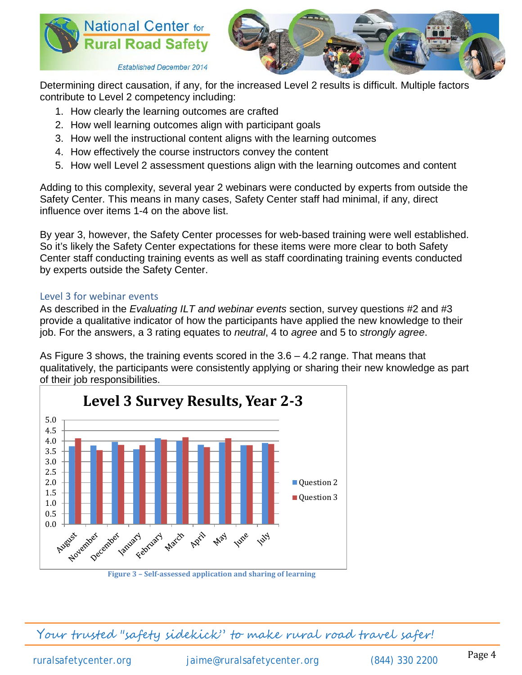



**Established December 2014** 

Determining direct causation, if any, for the increased Level 2 results is difficult. Multiple factors contribute to Level 2 competency including:

- 1. How clearly the learning outcomes are crafted
- 2. How well learning outcomes align with participant goals
- 3. How well the instructional content aligns with the learning outcomes
- 4. How effectively the course instructors convey the content
- 5. How well Level 2 assessment questions align with the learning outcomes and content

Adding to this complexity, several year 2 webinars were conducted by experts from outside the Safety Center. This means in many cases, Safety Center staff had minimal, if any, direct influence over items 1-4 on the above list.

By year 3, however, the Safety Center processes for web-based training were well established. So it's likely the Safety Center expectations for these items were more clear to both Safety Center staff conducting training events as well as staff coordinating training events conducted by experts outside the Safety Center.

### Level 3 for webinar events

As described in the *Evaluating ILT and webinar events* section, survey questions #2 and #3 provide a qualitative indicator of how the participants have applied the new knowledge to their job. For the answers, a 3 rating equates to *neutral*, 4 to *agree* and 5 to *strongly agree*.

As Figure 3 shows, the training events scored in the 3.6 – 4.2 range. That means that qualitatively, the participants were consistently applying or sharing their new knowledge as part of their job responsibilities.



**Figure 3 – Self-assessed application and sharing of learning**

Your trusted "safety sidekick" to make rural road travel safer!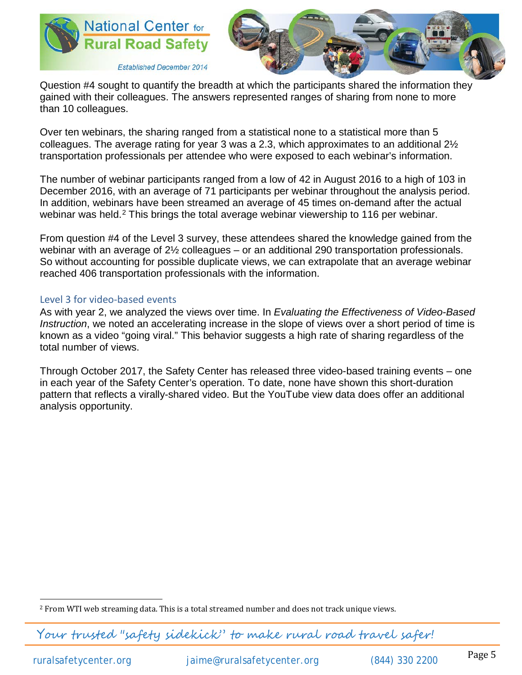



Question #4 sought to quantify the breadth at which the participants shared the information they gained with their colleagues. The answers represented ranges of sharing from none to more than 10 colleagues.

Over ten webinars, the sharing ranged from a statistical none to a statistical more than 5 colleagues. The average rating for year 3 was a 2.3, which approximates to an additional 2½ transportation professionals per attendee who were exposed to each webinar's information.

The number of webinar participants ranged from a low of 42 in August 2016 to a high of 103 in December 2016, with an average of 71 participants per webinar throughout the analysis period. In addition, webinars have been streamed an average of 45 times on-demand after the actual webinar was held.<sup>[2](#page-4-0)</sup> This brings the total average webinar viewership to 116 per webinar.

From question #4 of the Level 3 survey, these attendees shared the knowledge gained from the webinar with an average of 2½ colleagues – or an additional 290 transportation professionals. So without accounting for possible duplicate views, we can extrapolate that an average webinar reached 406 transportation professionals with the information.

#### Level 3 for video-based events

As with year 2, we analyzed the views over time. In *Evaluating the Effectiveness of Video-Based Instruction*, we noted an accelerating increase in the slope of views over a short period of time is known as a video "going viral." This behavior suggests a high rate of sharing regardless of the total number of views.

Through October 2017, the Safety Center has released three video-based training events – one in each year of the Safety Center's operation. To date, none have shown this short-duration pattern that reflects a virally-shared video. But the YouTube view data does offer an additional analysis opportunity.

Your trusted "safety sidekick" to make rural road travel safer!

<span id="page-4-0"></span> <sup>2</sup> From WTI web streaming data. This is a total streamed number and does not track unique views.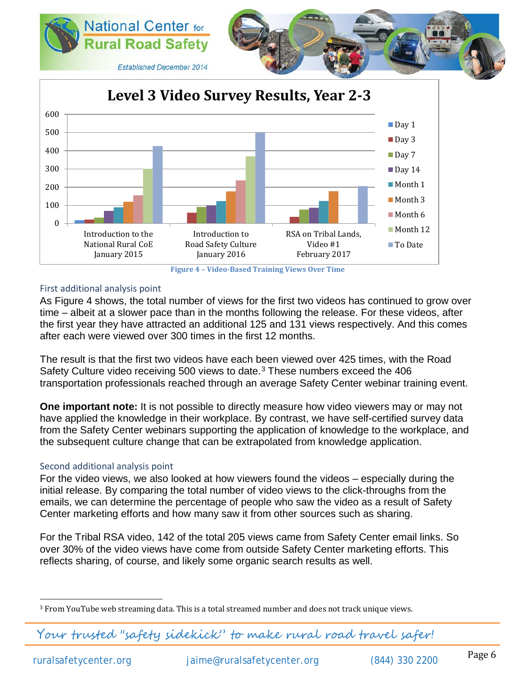



**Figure 4 – Video-Based Training Views Over Time**

#### First additional analysis point

As Figure 4 shows, the total number of views for the first two videos has continued to grow over time – albeit at a slower pace than in the months following the release. For these videos, after the first year they have attracted an additional 125 and 131 views respectively. And this comes after each were viewed over 300 times in the first 12 months.

The result is that the first two videos have each been viewed over 425 times, with the Road Safety Culture video receiving 500 views to date. $3$  These numbers exceed the 406 transportation professionals reached through an average Safety Center webinar training event.

**One important note:** It is not possible to directly measure how video viewers may or may not have applied the knowledge in their workplace. By contrast, we have self-certified survey data from the Safety Center webinars supporting the application of knowledge to the workplace, and the subsequent culture change that can be extrapolated from knowledge application.

#### Second additional analysis point

For the video views, we also looked at how viewers found the videos – especially during the initial release. By comparing the total number of video views to the click-throughs from the emails, we can determine the percentage of people who saw the video as a result of Safety Center marketing efforts and how many saw it from other sources such as sharing.

For the Tribal RSA video, 142 of the total 205 views came from Safety Center email links. So over 30% of the video views have come from outside Safety Center marketing efforts. This reflects sharing, of course, and likely some organic search results as well.

Your trusted "safety sidekick" to make rural road travel safer!

<span id="page-5-0"></span><sup>&</sup>lt;sup>3</sup> From YouTube web streaming data. This is a total streamed number and does not track unique views.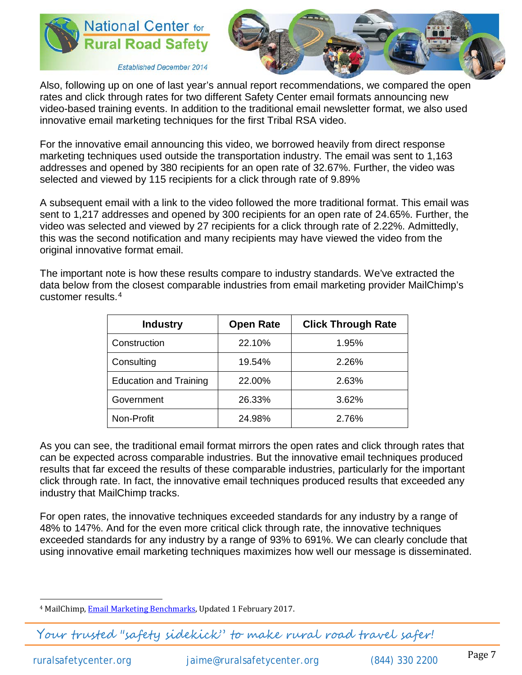



Also, following up on one of last year's annual report recommendations, we compared the open rates and click through rates for two different Safety Center email formats announcing new video-based training events. In addition to the traditional email newsletter format, we also used innovative email marketing techniques for the first Tribal RSA video.

For the innovative email announcing this video, we borrowed heavily from direct response marketing techniques used outside the transportation industry. The email was sent to 1,163 addresses and opened by 380 recipients for an open rate of 32.67%. Further, the video was selected and viewed by 115 recipients for a click through rate of 9.89%

A subsequent email with a link to the video followed the more traditional format. This email was sent to 1,217 addresses and opened by 300 recipients for an open rate of 24.65%. Further, the video was selected and viewed by 27 recipients for a click through rate of 2.22%. Admittedly, this was the second notification and many recipients may have viewed the video from the original innovative format email.

The important note is how these results compare to industry standards. We've extracted the data below from the closest comparable industries from email marketing provider MailChimp's customer results.[4](#page-6-0)

| <b>Industry</b>               | <b>Open Rate</b> | <b>Click Through Rate</b> |
|-------------------------------|------------------|---------------------------|
| Construction                  | 22.10%           | 1.95%                     |
| Consulting                    | 19.54%           | 2.26%                     |
| <b>Education and Training</b> | 22.00%           | 2.63%                     |
| Government                    | 26.33%           | 3.62%                     |
| Non-Profit                    | 24.98%           | 2.76%                     |

As you can see, the traditional email format mirrors the open rates and click through rates that can be expected across comparable industries. But the innovative email techniques produced results that far exceed the results of these comparable industries, particularly for the important click through rate. In fact, the innovative email techniques produced results that exceeded any industry that MailChimp tracks.

For open rates, the innovative techniques exceeded standards for any industry by a range of 48% to 147%. And for the even more critical click through rate, the innovative techniques exceeded standards for any industry by a range of 93% to 691%. We can clearly conclude that using innovative email marketing techniques maximizes how well our message is disseminated.

<span id="page-6-0"></span><sup>&</sup>lt;sup>4</sup> MailChimp, **Email Marketing Benchmarks**, Updated 1 February 2017.

Your trusted "safety sidekick" to make rural road travel safer!